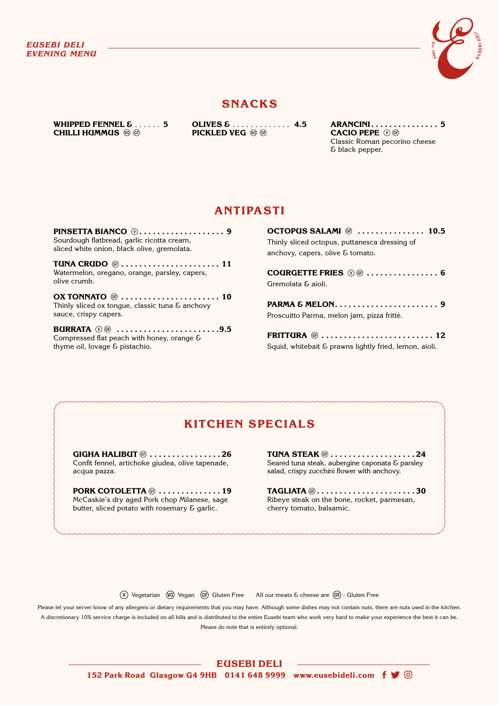

### **SNACKS**

**WHIPPED FENNEL & ...... 5 CHILLI HUMMUS** 

**OLIVES &** � � � � � � � � � � � � � **4.5 PICKLED VEG** 

**ARANCINI . . . . . . . . . . . . . . . 5 CACIO PEPE**  Classic Roman pecorino cheese & black pepper.

## **ANTIPASTI**

**PINSETTA BIANCO . . . . . . . . . . . . . . . . . . . 9** Sourdough flatbread, garlic ricotta cream, sliced white onion, black olive, gremolata.

**TUNA CRUDO @...................... 11** Watermelon, oregano, orange, parsley, capers, olive crumb.

**OX TONNATO**  $\circledcirc$  **.......................... 10** Thinly sliced ox tongue, classic tuna  $\epsilon$  anchovy sauce, crispy capers.

**BURRATA**  $\mathbb{O} \oplus$  .........................9.5 Compressed flat peach with honey, orange & thyme oil, lovage & pistachio.

**OCTOPUS SALAMI . . . . . . . . . . . . . . . 10.5** Thinly sliced octopus, puttanesca dressing of anchovy, capers, olive & tomato. **COURGETTE FRIES . . . . . . . . . . . . . . . . 6**

Gremolata & aioli. **PARMA & MELON . . . . . . . . . . . . . . . . . . . . . . . 9**

Proscuitto Parma, melon jam, pizza fritté.

**FRITTURA**  $\circledcirc$  ................................. 12 Squid, whitebait & prawns lightly fried, lemon, aioli.

# **KITCHEN SPECIALS**

**GIGHA HALIBUT**  $\circledcirc$  **.................26** Confit fennel, artichoke giudea, olive tapenade, acqua pazza.

**PORK COTOLETTA**  $\circledast$  **...............19** McCaskie's dry aged Pork chop Milanese, sage butter, sliced potato with rosemary & garlic.

**TUNA STEAK**  $\circledcirc$  **.....................24** Seared tuna steak, aubergine caponata & parsley salad, crispy zucchini flower with anchovy.

**TAGLIATA**  $\circledcirc$ **.........................30** Ribeye steak on the bone, rocket, parmesan, cherry tomato, balsamic.

 $\overline{(V)}$  Vegetarian  $\overline{(V)}$  Vegan  $\overline{(GF)}$  Gluten Free All our meats & cheese are  $\overline{(GF)}$  - Gluten Free

Please let your server know of any allergens or dietary requirements that you may have. Although some dishes may not contain nuts, there are nuts used in the kitchen. A discretionary 10% service charge is included on all bills and is distributed to the entire Eusebi team who work very hard to make your experience the best it can be. Please do note that is entirely optional.

**EUSEBI DELI** 

**152 Park Road Glasgow G4 9HB 0141 648 9999 www.eusebideli.com**